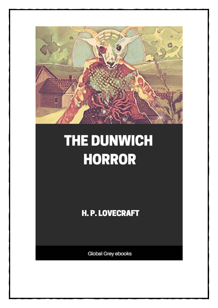

# THE DUNWICH **HORROR**

**H. P. LOVECRAFT** 

**Global Grey ebooks**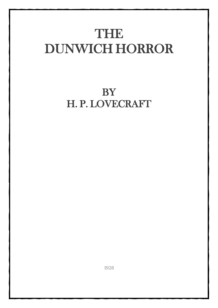## THE DUNWICH HORROR

### **BY** H. P. LOVECRAFT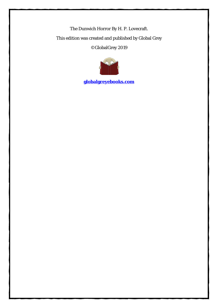The Dunwich Horror By H. P. Lovecraft. This edition was created and published by Global Grey ©GlobalGrey 2019



**[globalgreyebooks.com](https://www.globalgreyebooks.com/index.html)**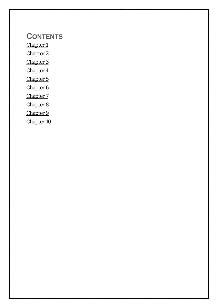#### **CONTENTS**

[Chapter 1](#page-5-0)

[Chapter 2](#page-9-0)

[Chapter 3](#page-13-0)

[Chapter 4](#page-16-0)

[Chapter 5](#page-20-0)

[Chapter 6](#page-24-0)

[Chapter 7](#page-28-0)

[Chapter 8](#page-34-0)

[Chapter 9](#page-39-0)

[Chapter 10](#page-45-0)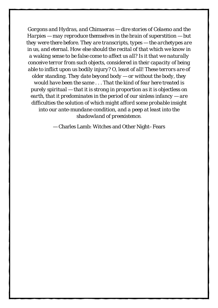*Gorgons and Hydras, and Chimaeras — dire stories of Celaeno and the Harpies — may reproduce themselves in the brain of superstition — but they were there before. They are transcripts, types — the archetypes are in us, and eternal. How else should the recital of that which we know in a waking sense to be false come to affect us all? Is it that we naturally conceive terror from such objects, considered in their capacity of being able to inflict upon us bodily injury? O, least of all! These terrors are of older standing. They date beyond body — or without the body, they would have been the same . . . That the kind of fear here treated is purely spiritual — that it is strong in proportion as it is objectless on earth, that it predominates in the period of our sinless infancy — are difficulties the solution of which might afford some probable insight into our ante-mundane condition, and a peep at least into the shadowland of preexistence.*

— Charles Lamb: Witches and Other Night–Fears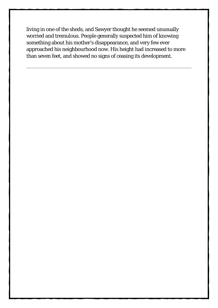living in one of the sheds, and Sawyer thought he seemed unusually worried and tremulous. People generally suspected him of knowing something about his mother's disappearance, and very few ever approached his neighbourhood now. His height had increased to more than seven feet, and showed no signs of ceasing its development.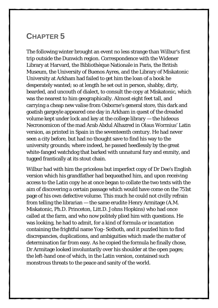#### <span id="page-20-0"></span>**CHAPTER 5**

The following winter brought an event no less strange than Wilbur's first trip outside the Dunwich region. Correspondence with the Widener Library at Harvard, the Bibliothèque Nationale in Paris, the British Museum, the University of Buenos Ayres, and the Library of Miskatonic University at Arkham had failed to get him the loan of a book he desperately wanted; so at length he set out in person, shabby, dirty, bearded, and uncouth of dialect, to consult the copy at Miskatonic, which was the nearest to him geographically. Almost eight feet tall, and carrying a cheap new valise from Osborne's general store, this dark and goatish gargoyle appeared one day in Arkham in quest of the dreaded volume kept under lock and key at the college library — the hideous Necronomicon of the mad Arab Abdul Alhazred in Olaus Wormius' Latin version, as printed in Spain in the seventeenth century. He had never seen a city before, but had no thought save to find his way to the university grounds; where indeed, he passed heedlessly by the great white-fanged watchdog that barked with unnatural fury and enmity, and tugged frantically at its stout chain.

Wilbur had with him the priceless but imperfect copy of Dr Dee's English version which his grandfather had bequeathed him, and upon receiving access to the Latin copy he at once began to collate the two texts with the aim of discovering a certain passage which would have come on the 751st page of his own defective volume. This much he could not civilly refrain from telling the librarian — the same erudite Henry Armitage (A.M. Miskatonic, Ph.D. Princeton, Litt.D. Johns Hopkins) who had once called at the farm, and who now politely plied him with questions. He was looking, he had to admit, for a kind of formula or incantation containing the frightful name Yog–Sothoth, and it puzzled him to find discrepancies, duplications, and ambiguities which made the matter of determination far from easy. As he copied the formula he finally chose, Dr Armitage looked involuntarily over his shoulder at the open pages; the left-hand one of which, in the Latin version, contained such monstrous threats to the peace and sanity of the world.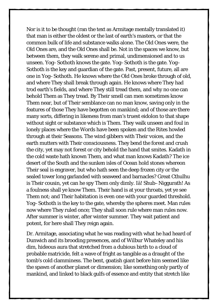Nor is it to be thought (ran the text as Armitage mentally translated it) that man is either the oldest or the last of earth's masters, or that the common bulk of life and substance walks alone. The Old Ones were, the Old Ones are, and the Old Ones shall be. Not in the spaces we know, but between them, they walk serene and primal, undimensioned and to us unseen. Yog–Sothoth knows the gate. Yog–Sothoth is the gate. Yog– Sothoth is the key and guardian of the gate. Past, present, future, all are one in Yog–Sothoth. He knows where the Old Ones broke through of old, and where They shall break through again. He knows where They had trod earth's fields, and where They still tread them, and why no one can behold Them as They tread. By Their smell can men sometimes know Them near, but of Their semblance can no man know, saving only in the features of those They have begotten on mankind; and of those are there many sorts, differing in likeness from man's truest eidolon to that shape without sight or substance which is Them. They walk unseen and foul in lonely places where the Words have been spoken and the Rites howled through at their Seasons. The wind gibbers with Their voices, and the earth mutters with Their consciousness. They bend the forest and crush the city, yet may not forest or city behold the hand that smites. Kadath in the cold waste hath known Them, and what man knows Kadath? The ice desert of the South and the sunken isles of Ocean hold stones whereon Their seal is engraver, but who hath seen the deep frozen city or the sealed tower long garlanded with seaweed and barnacles? Great Cthulhu is Their cousin, yet can he spy Them only dimly. Iä! Shub–Niggurath! As a foulness shall ye know Them. Their hand is at your throats, yet ye see Them not; and Their habitation is even one with your guarded threshold. Yog–Sothoth is the key to the gate, whereby the spheres meet. Man rules now where They ruled once; They shall soon rule where man rules now. After summer is winter, after winter summer. They wait patient and potent, for here shall They reign again.

Dr. Armitage, associating what he was reading with what he had heard of Dunwich and its brooding presences, and of Wilbur Whateley and his dim, hideous aura that stretched from a dubious birth to a cloud of probable matricide, felt a wave of fright as tangible as a draught of the tomb's cold clamminess. The bent, goatish giant before him seemed like the spawn of another planet or dimension; like something only partly of mankind, and linked to black gulfs of essence and entity that stretch like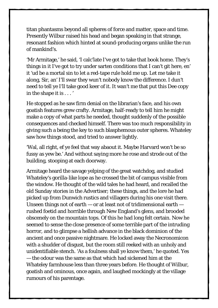titan phantasms beyond all spheres of force and matter, space and time. Presently Wilbur raised his head and began speaking in that strange, resonant fashion which hinted at sound-producing organs unlike the run of mankind's.

'Mr Armitage,' he said, 'I calc'late I've got to take that book home. They's things in it I've got to try under sarten conditions that I can't git here, en' it 'ud be a mortal sin to let a red-tape rule hold me up. Let me take it along, Sir, an' I'll swar they wun't nobody know the difference. I dun't need to tell ye I'll take good keer of it. It wan't me that put this Dee copy in the shape it is . . . '

He stopped as he saw firm denial on the librarian's face, and his own goatish features grew crafty. Armitage, half-ready to tell him he might make a copy of what parts he needed, thought suddenly of the possible consequences and checked himself. There was too much responsibility in giving such a being the key to such blasphemous outer spheres. Whateley saw how things stood, and tried to answer lightly.

'Wal, all right, ef ye feel that way abaout it. Maybe Harvard won't be so fussy as yew be.' And without saying more he rose and strode out of the building, stooping at each doorway.

Armitage heard the savage yelping of the great watchdog, and studied Whateley's gorilla-like lope as he crossed the bit of campus visible from the window. He thought of the wild tales he had heard, and recalled the old Sunday stories in the Advertiser; these things, and the lore he had picked up from Dunwich rustics and villagers during his one visit there. Unseen things not of earth — or at least not of tridimensional earth rushed foetid and horrible through New England's glens, and brooded obscenely on the mountain tops. Of this he had long felt certain. Now he seemed to sense the close presence of some terrible part of the intruding horror, and to glimpse a hellish advance in the black dominion of the ancient and once passive nightmare. He locked away the Necronomicon with a shudder of disgust, but the room still reeked with an unholy and unidentifiable stench. 'As a foulness shall ye know them,' he quoted. Yes — the odour was the same as that which had sickened him at the Whateley farmhouse less than three years before. He thought of Wilbur, goatish and ominous, once again, and laughed mockingly at the village rumours of his parentage.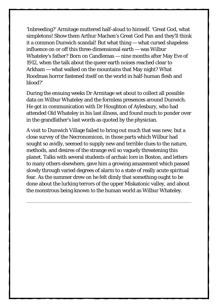'Inbreeding?' Armitage muttered half-aloud to himself. 'Great God, what simpletons! Show them Arthur Machen's Great God Pan and they'll think it a common Dunwich scandal! But what thing — what cursed shapeless influence on or off this three-dimensional earth — was Wilbur Whateley's father? Born on Candlemas — nine months after May Eve of 1912, when the talk about the queer earth noises reached clear to Arkham — what walked on the mountains that May night? What Roodmas horror fastened itself on the world in half-human flesh and blood?'

During the ensuing weeks Dr Armitage set about to collect all possible data on Wilbur Whateley and the formless presences around Dunwich. He got in communication with Dr Houghton of Aylesbury, who had attended Old Whateley in his last illness, and found much to ponder over in the grandfather's last words as quoted by the physician.

A visit to Dunwich Village failed to bring out much that was new; but a close survey of the Necronomicon, in those parts which Wilbur had sought so avidly, seemed to supply new and terrible clues to the nature, methods, and desires of the strange evil so vaguely threatening this planet. Talks with several students of archaic lore in Boston, and letters to many others elsewhere, gave him a growing amazement which passed slowly through varied degrees of alarm to a state of really acute spiritual fear. As the summer drew on he felt dimly that something ought to be done about the lurking terrors of the upper Miskatonic valley, and about the monstrous being known to the human world as Wilbur Whateley.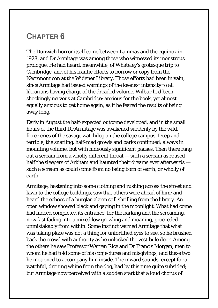#### <span id="page-24-0"></span>**CHAPTER 6**

The Dunwich horror itself came between Lammas and the equinox in 1928, and Dr Armitage was among those who witnessed its monstrous prologue. He had heard, meanwhile, of Whateley's grotesque trip to Cambridge, and of his frantic efforts to borrow or copy from the Necronomicon at the Widener Library. Those efforts had been in vain, since Armitage had issued warnings of the keenest intensity to all librarians having charge of the dreaded volume. Wilbur had been shockingly nervous at Cambridge; anxious for the book, yet almost equally anxious to get home again, as if he feared the results of being away long.

Early in August the half-expected outcome developed, and in the small hours of the third Dr Armitage was awakened suddenly by the wild, fierce cries of the savage watchdog on the college campus. Deep and terrible, the snarling, half-mad growls and barks continued; always in mounting volume, but with hideously significant pauses. Then there rang out a scream from a wholly different throat — such a scream as roused half the sleepers of Arkham and haunted their dreams ever afterwards such a scream as could come from no being born of earth, or wholly of earth.

Armitage, hastening into some clothing and rushing across the street and lawn to the college buildings, saw that others were ahead of him; and heard the echoes of a burglar-alarm still shrilling from the library. An open window showed black and gaping in the moonlight. What had come had indeed completed its entrance; for the barking and the screaming, now fast fading into a mixed low growling and moaning, proceeded unmistakably from within. Some instinct warned Armitage that what was taking place was not a thing for unfortified eyes to see, so he brushed back the crowd with authority as he unlocked the vestibule door. Among the others he saw Professor Warren Rice and Dr Francis Morgan, men to whom he had told some of his conjectures and misgivings; and these two he motioned to accompany him inside. The inward sounds, except for a watchful, droning whine from the dog, had by this time quite subsided; but Armitage now perceived with a sudden start that a loud chorus of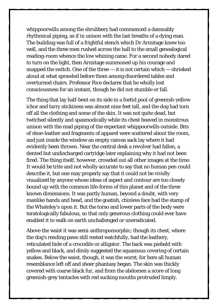whippoorwills among the shrubbery had commenced a damnably rhythmical piping, as if in unison with the last breaths of a dying man. The building was full of a frightful stench which Dr Armitage knew too well, and the three men rushed across the hall to the small genealogical reading-room whence the low whining came. For a second nobody dared to turn on the light, then Armitage summoned up his courage and snapped the switch. One of the three  $-$  it is not certain which  $-$  shrieked aloud at what sprawled before them among disordered tables and overturned chairs. Professor Rice declares that he wholly lost consciousness for an instant, though he did not stumble or fall.

The thing that lay half-bent on its side in a foetid pool of greenish-yellow ichor and tarry stickiness was almost nine feet tall, and the dog had torn off all the clothing and some of the skin. It was not quite dead, but twitched silently and spasmodically while its chest heaved in monstrous unison with the mad piping of the expectant whippoorwills outside. Bits of shoe-leather and fragments of apparel were scattered about the room, and just inside the window an empty canvas sack lay where it had evidently been thrown. Near the central desk a revolver had fallen, a dented but undischarged cartridge later explaining why it had not been fired. The thing itself, however, crowded out all other images at the time. It would be trite and not wholly accurate to say that no human pen could describe it, but one may properly say that it could not be vividly visualized by anyone whose ideas of aspect and contour are too closely bound up with the common life-forms of this planet and of the three known dimensions. It was partly human, beyond a doubt, with very manlike hands and head, and the goatish, chinless face had the stamp of the Whateley's upon it. But the torso and lower parts of the body were teratologically fabulous, so that only generous clothing could ever have enabled it to walk on earth unchallenged or uneradicated.

Above the waist it was semi-anthropomorphic; though its chest, where the dog's rending paws still rested watchfully, had the leathery, reticulated hide of a crocodile or alligator. The back was piebald with yellow and black, and dimly suggested the squamous covering of certain snakes. Below the waist, though, it was the worst; for here all human resemblance left off and sheer phantasy began. The skin was thickly covered with coarse black fur, and from the abdomen a score of long greenish-grey tentacles with red sucking mouths protruded limply.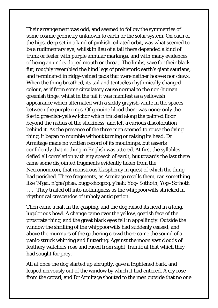Their arrangement was odd, and seemed to follow the symmetries of some cosmic geometry unknown to earth or the solar system. On each of the hips, deep set in a kind of pinkish, ciliated orbit, was what seemed to be a rudimentary eye; whilst in lieu of a tail there depended a kind of trunk or feeler with purple annular markings, and with many evidences of being an undeveloped mouth or throat. The limbs, save for their black fur, roughly resembled the hind legs of prehistoric earth's giant saurians, and terminated in ridgy-veined pads that were neither hooves nor claws. When the thing breathed, its tail and tentacles rhythmically changed colour, as if from some circulatory cause normal to the non-human greenish tinge, whilst in the tail it was manifest as a yellowish appearance which alternated with a sickly grayish-white in the spaces between the purple rings. Of genuine blood there was none; only the foetid greenish-yellow ichor which trickled along the painted floor beyond the radius of the stickiness, and left a curious discoloration behind it. As the presence of the three men seemed to rouse the dying thing, it began to mumble without turning or raising its head. Dr Armitage made no written record of its mouthings, but asserts confidently that nothing in English was uttered. At first the syllables defied all correlation with any speech of earth, but towards the last there came some disjointed fragments evidently taken from the Necronomicon, that monstrous blasphemy in quest of which the thing had perished. These fragments, as Armitage recalls them, ran something like 'N'gai, n'gha'ghaa, bugg-shoggog, y'hah: Yog–Sothoth, Yog–Sothoth . . . ' They trailed off into nothingness as the whippoorwills shrieked in rhythmical crescendos of unholy anticipation.

Then came a halt in the gasping, and the dog raised its head in a long, lugubrious howl. A change came over the yellow, goatish face of the prostrate thing, and the great black eyes fell in appallingly. Outside the window the shrilling of the whippoorwills had suddenly ceased, and above the murmurs of the gathering crowd there came the sound of a panic-struck whirring and fluttering. Against the moon vast clouds of feathery watchers rose and raced from sight, frantic at that which they had sought for prey.

All at once the dog started up abruptly, gave a frightened bark, and leaped nervously out of the window by which it had entered. A cry rose from the crowd, and Dr Armitage shouted to the men outside that no one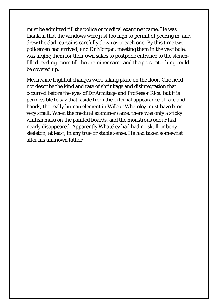must be admitted till the police or medical examiner came. He was thankful that the windows were just too high to permit of peering in, and drew the dark curtains carefully down over each one. By this time two policemen had arrived; and Dr Morgan, meeting them in the vestibule, was urging them for their own sakes to postpone entrance to the stenchfilled reading-room till the examiner came and the prostrate thing could be covered up.

Meanwhile frightful changes were taking place on the floor. One need not describe the kind and rate of shrinkage and disintegration that occurred before the eyes of Dr Armitage and Professor Rice; but it is permissible to say that, aside from the external appearance of face and hands, the really human element in Wilbur Whateley must have been very small. When the medical examiner came, there was only a sticky whitish mass on the painted boards, and the monstrous odour had nearly disappeared. Apparently Whateley had had no skull or bony skeleton; at least, in any true or stable sense. He had taken somewhat after his unknown father.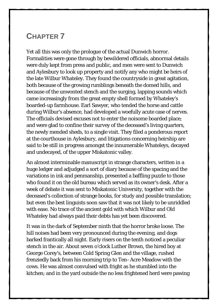#### <span id="page-28-0"></span>**CHAPTER 7**

Yet all this was only the prologue of the actual Dunwich horror. Formalities were gone through by bewildered officials, abnormal details were duly kept from press and public, and men were sent to Dunwich and Aylesbury to look up property and notify any who might be heirs of the late Wilbur Whateley. They found the countryside in great agitation, both because of the growing rumblings beneath the domed hills, and because of the unwonted stench and the surging, lapping sounds which came increasingly from the great empty shell formed by Whateley's boarded-up farmhouse. Earl Sawyer, who tended the horse and cattle during Wilbur's absence, had developed a woefully acute case of nerves. The officials devised excuses not to enter the noisome boarded place; and were glad to confine their survey of the deceased's living quarters, the newly mended sheds, to a single visit. They filed a ponderous report at the courthouse in Aylesbury, and litigations concerning heirship are said to be still in progress amongst the innumerable Whateleys, decayed and undecayed, of the upper Miskatonic valley.

An almost interminable manuscript in strange characters, written in a huge ledger and adjudged a sort of diary because of the spacing and the variations in ink and penmanship, presented a baffling puzzle to those who found it on the old bureau which served as its owner's desk. After a week of debate it was sent to Miskatonic University, together with the deceased's collection of strange books, for study and possible translation; but even the best linguists soon saw that it was not likely to be unriddled with ease. No trace of the ancient gold with which Wilbur and Old Whateley had always paid their debts has yet been discovered.

It was in the dark of September ninth that the horror broke loose. The hill noises had been very pronounced during the evening, and dogs barked frantically all night. Early risers on the tenth noticed a peculiar stench in the air. About seven o'clock Luther Brown, the hired boy at George Corey's, between Cold Spring Glen and the village, rushed frenziedly back from his morning trip to Ten–Acre Meadow with the cows. He was almost convulsed with fright as he stumbled into the kitchen; and in the yard outside the no less frightened herd were pawing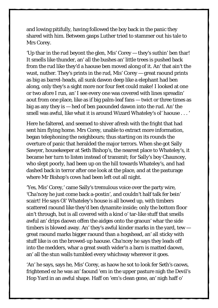and lowing pitifully, having followed the boy back in the panic they shared with him. Between gasps Luther tried to stammer out his tale to Mrs Corey.

'Up thar in the rud beyont the glen, Mis' Corey — they's suthin' ben thar! It smells like thunder, an' all the bushes an' little trees is pushed back from the rud like they'd a haouse ben moved along of it. An' that ain't the wust, nuther. They's prints in the rud, Mis' Corey — great raound prints as big as barrel-heads, all sunk dawon deep like a elephant had ben along, only they's a sight more nor four feet could make! I looked at one or two afore I run, an' I see every one was covered with lines spreadin' aout from one place, like as if big palm-leaf fans — twict or three times as big as any they is — hed of ben paounded dawon into the rud. An' the smell was awful, like what it is around Wizard Whateley's ol' haouse . . . '

Here he faltered, and seemed to shiver afresh with the fright that had sent him flying home. Mrs Corey, unable to extract more information, began telephoning the neighbours; thus starting on its rounds the overture of panic that heralded the major terrors. When she got Sally Sawyer, housekeeper at Seth Bishop's, the nearest place to Whateley's, it became her turn to listen instead of transmit; for Sally's boy Chauncey, who slept poorly, had been up on the hill towards Whateley's, and had dashed back in terror after one look at the place, and at the pasturage where Mr Bishop's cows had been left out all night.

'Yes, Mis' Corey,' came Sally's tremulous voice over the party wire, 'Cha'ncey he just come back a-postin', and couldn't half talk fer bein' scairt! He says Ol' Whateley's house is all bowed up, with timbers scattered raound like they'd ben dynamite inside; only the bottom floor ain't through, but is all covered with a kind o' tar-like stuff that smells awful an' drips daown offen the aidges onto the graoun' whar the side timbers is blowed away. An' they's awful kinder marks in the yard, tew great raound marks bigger raound than a hogshead, an' all sticky with stuff like is on the browed-up haouse. Cha'ncey he says they leads off into the medders, whar a great swath wider'n a barn is matted daown, an' all the stun walls tumbled every whichway wherever it goes.

'An' he says, says he, Mis' Corey, as haow he sot to look fer Seth's caows, frightened ez he was an' faound 'em in the upper pasture nigh the Devil's Hop Yard in an awful shape. Haff on 'em's clean gone, an' nigh haff o'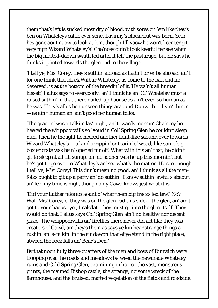them that's left is sucked most dry o' blood, with sores on 'em like they's ben on Whateleys cattle ever senct Lavinny's black brat was born. Seth hes gone aout naow to look at 'em, though I'll vaow he won't keer ter git very nigh Wizard Whateley's! Cha'ncey didn't look keerful ter see whar the big matted-daown swath led arter it leff the pasturage, but he says he thinks it p'inted towards the glen rud to the village.

'I tell ye, Mis' Corey, they's suthin' abroad as hadn't orter be abroad, an' I for one think that black Wilbur Whateley, as come to the bad end he deserved, is at the bottom of the breedin' of it. He wa'n't all human hisself, I allus says to everybody; an' I think he an' Ol' Whateley must a raised suthin' in that there nailed-up haouse as ain't even so human as he was. They's allus ben unseen things araound Dunwich — livin' things — as ain't human an' ain't good fer human folks.

'The graoun' was a-talkin' las' night, an' towards mornin' Cha'ncey he heered the whippoorwills so laoud in Col' Spring Glen he couldn't sleep nun. Then he thought he heered another faint-like saound over towards Wizard Whateley's — a kinder rippin' or tearin' o' wood, like some big box er crate was bein' opened fur off. What with this an' that, he didn't git to sleep at all till sunup, an' no sooner was he up this mornin', but he's got to go over to Whateley's an' see what's the matter. He see enough I tell ye, Mis' Corey! This dun't mean no good, an' I think as all the menfolks ought to git up a party an' do suthin'. I know suthin' awful's abaout, an' feel my time is nigh, though only Gawd knows jest what it is.

'Did your Luther take accaount o' whar them big tracks led tew? No? Wal, Mis' Corey, ef they was on the glen rud this side o' the glen, an' ain't got to your haouse yet, I calc'late they must go into the glen itself. They would do that. I allus says Col' Spring Glen ain't no healthy nor decent place. The whippoorwills an' fireflies there never did act like they was creaters o' Gawd, an' they's them as says ye kin hear strange things arushin' an' a-talkin' in the air dawon thar ef ye stand in the right place, atween the rock falls an' Bear's Den.'

By that noon fully three-quarters of the men and boys of Dunwich were trooping over the roads and meadows between the newmade Whateley ruins and Cold Spring Glen, examining in horror the vast, monstrous prints, the maimed Bishop cattle, the strange, noisome wreck of the farmhouse, and the bruised, matted vegetation of the fields and roadside.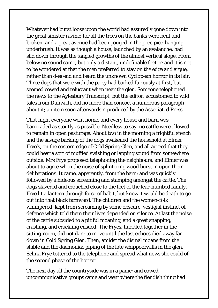Whatever had burst loose upon the world had assuredly gone down into the great sinister ravine; for all the trees on the banks were bent and broken, and a great avenue had been gouged in the precipice-hanging underbrush. It was as though a house, launched by an avalanche, had slid down through the tangled growths of the almost vertical slope. From below no sound came, but only a distant, undefinable foetor; and it is not to be wondered at that the men preferred to stay on the edge and argue, rather than descend and beard the unknown Cyclopean horror in its lair. Three dogs that were with the party had barked furiously at first, but seemed cowed and reluctant when near the glen. Someone telephoned the news to the Aylesbury Transcript; but the editor, accustomed to wild tales from Dunwich, did no more than concoct a humorous paragraph about it; an item soon afterwards reproduced by the Associated Press.

That night everyone went home, and every house and barn was barricaded as stoutly as possible. Needless to say, no cattle were allowed to remain in open pasturage. About two in the morning a frightful stench and the savage barking of the dogs awakened the household at Elmer Frye's, on the eastern edge of Cold Spring Glen, and all agreed that they could hear a sort of muffled swishing or lapping sound from somewhere outside. Mrs Frye proposed telephoning the neighbours, and Elmer was about to agree when the noise of splintering wood burst in upon their deliberations. It came, apparently, from the barn; and was quickly followed by a hideous screaming and stamping amongst the cattle. The dogs slavered and crouched close to the feet of the fear-numbed family. Frye lit a lantern through force of habit, but knew it would be death to go out into that black farmyard. The children and the women-folk whimpered, kept from screaming by some obscure, vestigial instinct of defence which told them their lives depended on silence. At last the noise of the cattle subsided to a pitiful moaning, and a great snapping, crashing, and crackling ensued. The Fryes, huddled together in the sitting-room, did not dare to move until the last echoes died away far down in Cold Spring Glen. Then, amidst the dismal moans from the stable and the daemoniac piping of the late whippoorwills in the glen, Selina Frye tottered to the telephone and spread what news she could of the second phase of the horror.

The next day all the countryside was in a panic; and cowed, uncommunicative groups came and went where the fiendish thing had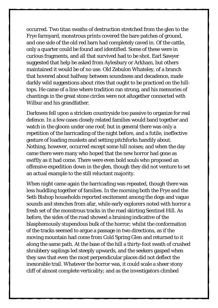occurred. Two titan swaths of destruction stretched from the glen to the Frye farmyard, monstrous prints covered the bare patches of ground, and one side of the old red barn had completely caved in. Of the cattle, only a quarter could be found and identified. Some of these were in curious fragments, and all that survived had to be shot. Earl Sawyer suggested that help be asked from Aylesbury or Arkham, but others maintained it would be of no use. Old Zebulon Whateley, of a branch that hovered about halfway between soundness and decadence, made darkly wild suggestions about rites that ought to be practiced on the hilltops. He came of a line where tradition ran strong, and his memories of chantings in the great stone circles were not altogether connected with Wilbur and his grandfather.

Darkness fell upon a stricken countryside too passive to organize for real defence. In a few cases closely related families would band together and watch in the gloom under one roof; but in general there was only a repetition of the barricading of the night before, and a futile, ineffective gesture of loading muskets and setting pitchforks handily about. Nothing, however, occurred except some hill noises; and when the day came there were many who hoped that the new horror had gone as swiftly as it had come. There were even bold souls who proposed an offensive expedition down in the glen, though they did not venture to set an actual example to the still reluctant majority.

When night came again the barricading was repeated, though there was less huddling together of families. In the morning both the Frye and the Seth Bishop households reported excitement among the dogs and vague sounds and stenches from afar, while early explorers noted with horror a fresh set of the monstrous tracks in the road skirting Sentinel Hill. As before, the sides of the road showed a bruising indicative of the blasphemously stupendous bulk of the horror; whilst the conformation of the tracks seemed to argue a passage in two directions, as if the moving mountain had come from Cold Spring Glen and returned to it along the same path. At the base of the hill a thirty-foot swath of crushed shrubbery saplings led steeply upwards, and the seekers gasped when they saw that even the most perpendicular places did not deflect the inexorable trail. Whatever the horror was, it could scale a sheer stony cliff of almost complete verticality; and as the investigators climbed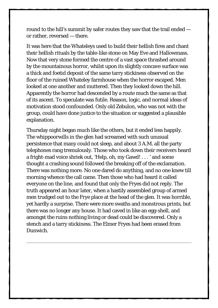round to the hill's summit by safer routes they saw that the trail ended or rather, reversed — there.

It was here that the Whateleys used to build their hellish fires and chant their hellish rituals by the table-like stone on May Eve and Hallowmass. Now that very stone formed the centre of a vast space thrashed around by the mountainous horror, whilst upon its slightly concave surface was a thick and foetid deposit of the same tarry stickiness observed on the floor of the ruined Whateley farmhouse when the horror escaped. Men looked at one another and muttered. Then they looked down the hill. Apparently the horror had descended by a route much the same as that of its ascent. To speculate was futile. Reason, logic, and normal ideas of motivation stood confounded. Only old Zebulon, who was not with the group, could have done justice to the situation or suggested a plausible explanation.

Thursday night began much like the others, but it ended less happily. The whippoorwills in the glen had screamed with such unusual persistence that many could not sleep, and about 3 A.M. all the party telephones rang tremulously. Those who took down their receivers heard a fright-mad voice shriek out, 'Help, oh, my Gawd! . . . ' and some thought a crashing sound followed the breaking off of the exclamation. There was nothing more. No one dared do anything, and no one knew till morning whence the call came. Then those who had heard it called everyone on the line, and found that only the Fryes did not reply. The truth appeared an hour later, when a hastily assembled group of armed men trudged out to the Frye place at the head of the glen. It was horrible, yet hardly a surprise. There were more swaths and monstrous prints, but there was no longer any house. It had caved in like an egg-shell, and amongst the ruins nothing living or dead could be discovered. Only a stench and a tarry stickiness. The Elmer Fryes had been erased from Dunwich.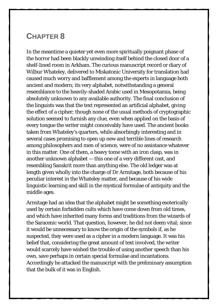#### <span id="page-34-0"></span>**CHAPTER 8**

In the meantime a quieter yet even more spiritually poignant phase of the horror had been blackly unwinding itself behind the closed door of a shelf-lined room in Arkham. The curious manuscript record or diary of Wilbur Whateley, delivered to Miskatonic University for translation had caused much worry and bafflement among the experts in language both ancient and modern; its very alphabet, notwithstanding a general resemblance to the heavily-shaded Arabic used in Mesopotamia, being absolutely unknown to any available authority. The final conclusion of the linguists was that the text represented an artificial alphabet, giving the effect of a cipher; though none of the usual methods of cryptographic solution seemed to furnish any clue, even when applied on the basis of every tongue the writer might conceivably have used. The ancient books taken from Whateley's quarters, while absorbingly interesting and in several cases promising to open up new and terrible lines of research among philosophers and men of science, were of no assistance whatever in this matter. One of them, a heavy tome with an iron clasp, was in another unknown alphabet — this one of a very different cast, and resembling Sanskrit more than anything else. The old ledger was at length given wholly into the charge of Dr Armitage, both because of his peculiar interest in the Whateley matter, and because of his wide linguistic learning and skill in the mystical formulae of antiquity and the middle ages.

Armitage had an idea that the alphabet might be something esoterically used by certain forbidden cults which have come down from old times, and which have inherited many forms and traditions from the wizards of the Saracenic world. That question, however, he did not deem vital; since it would be unnecessary to know the origin of the symbols if, as he suspected, they were used as a cipher in a modern language. It was his belief that, considering the great amount of text involved, the writer would scarcely have wished the trouble of using another speech than his own, save perhaps in certain special formulae and incantations. Accordingly he attacked the manuscript with the preliminary assumption that the bulk of it was in English.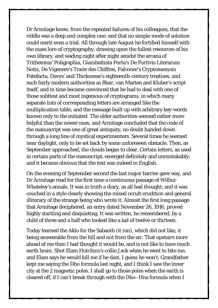Dr Armitage knew, from the repeated failures of his colleagues, that the riddle was a deep and complex one; and that no simple mode of solution could merit even a trial. All through late August he fortified himself with the mass lore of cryptography; drawing upon the fullest resources of his own library, and wading night after night amidst the arcana of Trithemius' Poligraphia, Giambattista Porta's De Furtivis Literarum Notis, De Vigenere's Traite des Chiffres, Falconer's Cryptomenysis Patefacta, Davys' and Thicknesse's eighteenth-century treatises, and such fairly modern authorities as Blair, van Marten and Kluber's script itself, and in time became convinced that he had to deal with one of those subtlest and most ingenious of cryptograms, in which many separate lists of corresponding letters are arranged like the multiplication table, and the message built up with arbitrary key-words known only to the initiated. The older authorities seemed rather more helpful than the newer ones, and Armitage concluded that the code of the manuscript was one of great antiquity, no doubt handed down through a long line of mystical experimenters. Several times he seemed near daylight, only to be set back by some unforeseen obstacle. Then, as September approached, the clouds began to clear. Certain letters, as used in certain parts of the manuscript, emerged definitely and unmistakably; and it became obvious that the text was indeed in English.

On the evening of September second the last major barrier gave way, and Dr Armitage read for the first time a continuous passage of Wilbur Whateley's annals. It was in truth a diary, as all had thought; and it was couched in a style clearly showing the mixed occult erudition and general illiteracy of the strange being who wrote it. Almost the first long passage that Armitage deciphered, an entry dated November 26, 1916, proved highly startling and disquieting. It was written, he remembered, by a child of three and a half who looked like a lad of twelve or thirteen.

Today learned the Aklo for the Sabaoth (it ran), which did not like, it being answerable from the hill and not from the air. That upstairs more ahead of me than I had thought it would be, and is not like to have much earth brain. Shot Elam Hutchins's collie Jack when he went to bite me, and Elam says he would kill me if he dast. I guess he won't. Grandfather kept me saying the Dho formula last night, and I think I saw the inner city at the 2 magnetic poles. I shall go to those poles when the earth is cleared off, if I can't break through with the Dho–Hna formula when I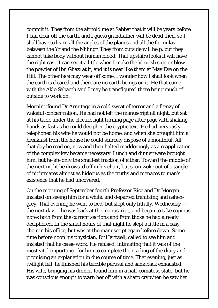commit it. They from the air told me at Sabbat that it will be years before I can clear off the earth, and I guess grandfather will be dead then, so I shall have to learn all the angles of the planes and all the formulas between the Yr and the Nhhngr. They from outside will help, but they cannot take body without human blood. That upstairs looks it will have the right cast. I can see it a little when I make the Voorish sign or blow the powder of Ibn Ghazi at it, and it is near like them at May Eve on the Hill. The other face may wear off some. I wonder how I shall look when the earth is cleared and there are no earth beings on it. He that came with the Aklo Sabaoth said I may be transfigured there being much of outside to work on.

Morning found Dr Armitage in a cold sweat of terror and a frenzy of wakeful concentration. He had not left the manuscript all night, but sat at his table under the electric light turning page after page with shaking hands as fast as he could decipher the cryptic text. He had nervously telephoned his wife he would not be home, and when she brought him a breakfast from the house he could scarcely dispose of a mouthful. All that day he read on, now and then halted maddeningly as a reapplication of the complex key became necessary. Lunch and dinner were brought him, but he ate only the smallest fraction of either. Toward the middle of the next night he drowsed off in his chair, but soon woke out of a tangle of nightmares almost as hideous as the truths and menaces to man's existence that he had uncovered.

On the morning of September fourth Professor Rice and Dr Morgan insisted on seeing him for a while, and departed trembling and ashengrey. That evening he went to bed, but slept only fitfully. Wednesday the next day  $-$  he was back at the manuscript, and began to take copious notes both from the current sections and from those he had already deciphered. In the small hours of that night he slept a little in a easy chair in his office, but was at the manuscript again before dawn. Some time before noon his physician, Dr Hartwell, called to see him and insisted that he cease work. He refused; intimating that it was of the most vital importance for him to complete the reading of the diary and promising an explanation in due course of time. That evening, just as twilight fell, he finished his terrible perusal and sank back exhausted. His wife, bringing his dinner, found him in a half-comatose state; but he was conscious enough to warn her off with a sharp cry when he saw her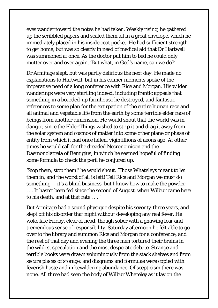eyes wander toward the notes he had taken. Weakly rising, he gathered up the scribbled papers and sealed them all in a great envelope, which he immediately placed in his inside coat pocket. He had sufficient strength to get home, but was so clearly in need of medical aid that Dr Hartwell was summoned at once. As the doctor put him to bed he could only mutter over and over again, 'But what, in God's name, can we do?'

Dr Armitage slept, but was partly delirious the next day. He made no explanations to Hartwell, but in his calmer moments spoke of the imperative need of a long conference with Rice and Morgan. His wilder wanderings were very startling indeed, including frantic appeals that something in a boarded-up farmhouse be destroyed, and fantastic references to some plan for the extirpation of the entire human race and all animal and vegetable life from the earth by some terrible elder race of beings from another dimension. He would shout that the world was in danger, since the Elder Things wished to strip it and drag it away from the solar system and cosmos of matter into some other plane or phase of entity from which it had once fallen, vigintillions of aeons ago. At other times he would call for the dreaded Necronomicon and the Daemonolatreia of Remigius, in which he seemed hopeful of finding some formula to check the peril he conjured up.

'Stop them, stop them!' he would shout. 'Those Whateleys meant to let them in, and the worst of all is left! Tell Rice and Morgan we must do something — it's a blind business, but I know how to make the powder . . . It hasn't been fed since the second of August, when Wilbur came here to his death, and at that rate . . . '

But Armitage had a sound physique despite his seventy-three years, and slept off his disorder that night without developing any real fever. He woke late Friday, clear of head, though sober with a gnawing fear and tremendous sense of responsibility. Saturday afternoon he felt able to go over to the library and summon Rice and Morgan for a conference, and the rest of that day and evening the three men tortured their brains in the wildest speculation and the most desperate debate. Strange and terrible books were drawn voluminously from the stack shelves and from secure places of storage; and diagrams and formulae were copied with feverish haste and in bewildering abundance. Of scepticism there was none. All three had seen the body of Wilbur Whateley as it lay on the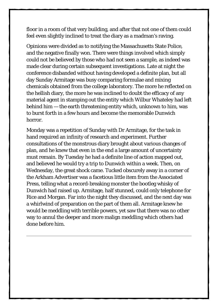floor in a room of that very building, and after that not one of them could feel even slightly inclined to treat the diary as a madman's raving.

Opinions were divided as to notifying the Massachusetts State Police, and the negative finally won. There were things involved which simply could not be believed by those who had not seen a sample, as indeed was made clear during certain subsequent investigations. Late at night the conference disbanded without having developed a definite plan, but all day Sunday Armitage was busy comparing formulae and mixing chemicals obtained from the college laboratory. The more he reflected on the hellish diary, the more he was inclined to doubt the efficacy of any material agent in stamping out the entity which Wilbur Whateley had left behind him — the earth threatening entity which, unknown to him, was to burst forth in a few hours and become the memorable Dunwich horror.

Monday was a repetition of Sunday with Dr Armitage, for the task in hand required an infinity of research and experiment. Further consultations of the monstrous diary brought about various changes of plan, and he knew that even in the end a large amount of uncertainty must remain. By Tuesday he had a definite line of action mapped out, and believed he would try a trip to Dunwich within a week. Then, on Wednesday, the great shock came. Tucked obscurely away in a corner of the Arkham Advertiser was a facetious little item from the Associated Press, telling what a record-breaking monster the bootleg whisky of Dunwich had raised up. Armitage, half stunned, could only telephone for Rice and Morgan. Far into the night they discussed, and the next day was a whirlwind of preparation on the part of them all. Armitage knew he would be meddling with terrible powers, yet saw that there was no other way to annul the deeper and more malign meddling which others had done before him.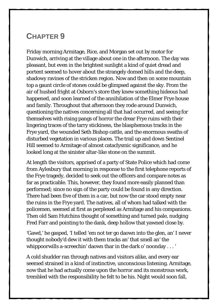#### <span id="page-39-0"></span>**CHAPTER 9**

Friday morning Armitage, Rice, and Morgan set out by motor for Dunwich, arriving at the village about one in the afternoon. The day was pleasant, but even in the brightest sunlight a kind of quiet dread and portent seemed to hover about the strangely domed hills and the deep, shadowy ravines of the stricken region. Now and then on some mountain top a gaunt circle of stones could be glimpsed against the sky. From the air of hushed fright at Osborn's store they knew something hideous had happened, and soon learned of the annihilation of the Elmer Frye house and family. Throughout that afternoon they rode around Dunwich, questioning the natives concerning all that had occurred, and seeing for themselves with rising pangs of horror the drear Frye ruins with their lingering traces of the tarry stickiness, the blasphemous tracks in the Frye yard, the wounded Seth Bishop cattle, and the enormous swaths of disturbed vegetation in various places. The trail up and down Sentinel Hill seemed to Armitage of almost cataclysmic significance, and he looked long at the sinister altar-like stone on the summit.

At length the visitors, apprised of a party of State Police which had come from Aylesbury that morning in response to the first telephone reports of the Frye tragedy, decided to seek out the officers and compare notes as far as practicable. This, however, they found more easily planned than performed; since no sign of the party could be found in any direction. There had been five of them in a car, but now the car stood empty near the ruins in the Frye yard. The natives, all of whom had talked with the policemen, seemed at first as perplexed as Armitage and his companions. Then old Sam Hutchins thought of something and turned pale, nudging Fred Farr and pointing to the dank, deep hollow that yawned close by.

'Gawd,' he gasped, 'I telled 'em not ter go daown into the glen, an' I never thought nobody'd dew it with them tracks an' that smell an' the whippoorwills a-screechin' daown thar in the dark o' noonday . . . '

A cold shudder ran through natives and visitors alike, and every ear seemed strained in a kind of instinctive, unconscious listening. Armitage, now that he had actually come upon the horror and its monstrous work, trembled with the responsibility he felt to be his. Night would soon fall,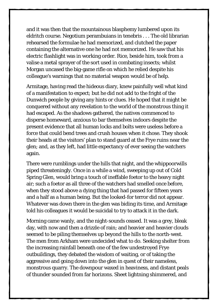and it was then that the mountainous blasphemy lumbered upon its eldritch course. Negotium perambuians in tenebris . . . The old librarian rehearsed the formulae he had memorized, and clutched the paper containing the alternative one he had not memorized. He saw that his electric flashlight was in working order. Rice, beside him, took from a valise a metal sprayer of the sort used in combating insects; whilst Morgan uncased the big-game rifle on which he relied despite his colleague's warnings that no material weapon would be of help.

Armitage, having read the hideous diary, knew painfully well what kind of a manifestation to expect; but he did not add to the fright of the Dunwich people by giving any hints or clues. He hoped that it might be conquered without any revelation to the world of the monstrous thing it had escaped. As the shadows gathered, the natives commenced to disperse homeward, anxious to bar themselves indoors despite the present evidence that all human locks and bolts were useless before a force that could bend trees and crush houses when it chose. They shook their heads at the visitors' plan to stand guard at the Frye ruins near the glen; and, as they left, had little expectancy of ever seeing the watchers again.

There were rumblings under the hills that night, and the whippoorwills piped threateningly. Once in a while a wind, sweeping up out of Cold Spring Glen, would bring a touch of ineffable foetor to the heavy night air; such a foetor as all three of the watchers had smelled once before, when they stood above a dying thing that had passed for fifteen years and a half as a human being. But the looked-for terror did not appear. Whatever was down there in the glen was biding its time, and Armitage told his colleagues it would be suicidal to try to attack it in the dark.

Morning came wanly, and the night-sounds ceased. It was a grey, bleak day, with now and then a drizzle of rain; and heavier and heavier clouds seemed to be piling themselves up beyond the hills to the north-west. The men from Arkham were undecided what to do. Seeking shelter from the increasing rainfall beneath one of the few undestroyed Frye outbuildings, they debated the wisdom of waiting, or of taking the aggressive and going down into the glen in quest of their nameless, monstrous quarry. The downpour waxed in heaviness, and distant peals of thunder sounded from far horizons. Sheet lightning shimmered, and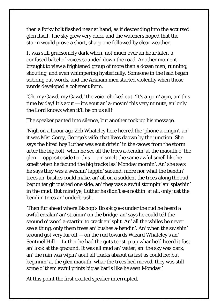then a forky bolt flashed near at hand, as if descending into the accursed glen itself. The sky grew very dark, and the watchers hoped that the storm would prove a short, sharp one followed by clear weather.

It was still gruesomely dark when, not much over an hour later, a confused babel of voices sounded down the road. Another moment brought to view a frightened group of more than a dozen men, running, shouting, and even whimpering hysterically. Someone in the lead began sobbing out words, and the Arkham men started violently when those words developed a coherent form.

'Oh, my Gawd, my Gawd,' the voice choked out. 'It's a-goin' agin, an' this time by day! It's aout — it's aout an' a-movin' this very minute, an' only the Lord knows when it'll be on us all!'

The speaker panted into silence, but another took up his message.

'Nigh on a haour ago Zeb Whateley here heered the 'phone a-ringin', an' it was Mis' Corey, George's wife, that lives daown by the junction. She says the hired boy Luther was aout drivin' in the caows from the storm arter the big bolt, when he see all the trees a-bendin' at the maouth o' the  $glen - opposite side$  ter this  $- an$ ' smelt the same awful smell like he smelt when he faound the big tracks las' Monday mornin'. An' she says he says they was a swishin' lappin' saound, more nor what the bendin' trees an' bushes could make, an' all on a suddent the trees along the rud begun ter git pushed one side, an' they was a awful stompin' an' splashin' in the mud. But mind ye, Luther he didn't see nothin' at all, only just the bendin' trees an' underbrush.

'Then fur ahead where Bishop's Brook goes under the rud he heerd a awful creakin' an' strainin' on the bridge, an' says he could tell the saound o' wood a-startin' to crack an' split. An' all the whiles he never see a thing, only them trees an' bushes a-bendin'. An' when the swishin' saound got very fur off — on the rud towards Wizard Whateley's an' Sentinel Hill — Luther he had the guts ter step up whar he'd heerd it fust an' look at the graound. It was all mud an' water, an' the sky was dark, an' the rain was wipin' aout all tracks abaout as fast as could be; but beginnin' at the glen maouth, whar the trees hed moved, they was still some o' them awful prints big as bar'ls like he seen Monday.'

At this point the first excited speaker interrupted.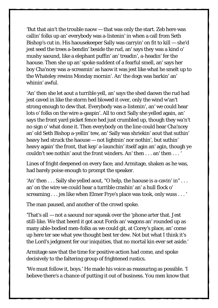'But that ain't the trouble naow — that was only the start. Zeb here was callin' folks up an' everybody was a-listenin' in when a call from Seth Bishop's cut in. His haousekeeper Sally was carryin' on fit to kill — she'd jest seed the trees a-bendin' beside the rud, an' says they was a kind o' mushy saound, like a elephant puffin' an' treadin', a-headin' fer the haouse. Then she up an' spoke suddent of a fearful smell, an' says her boy Cha'ncey was a-screamin' as haow it was jest like what he smelt up to the Whateley rewins Monday mornin'. An' the dogs was barkin' an' whinin' awful.

'An' then she let aout a turrible yell, an' says the shed daown the rud had jest caved in like the storm hed blowed it over, only the wind w'an't strong enough to dew that. Everybody was a-listenin', an' we could hear lots o' folks on the wire a-gaspin'. All to onct Sally she yelled again, an' says the front yard picket fence hed just crumbled up, though they wa'n't no sign o' what done it. Then everybody on the line could hear Cha'ncey an' old Seth Bishop a-yellin' tew, an' Sally was shriekin' aout that suthin' heavy hed struck the haouse — not lightnin' nor nothin', but suthin' heavy again' the front, that kep' a-launchin' itself agin an' agin, though ye couldn't see nothin' aout the front winders. An' then . . . an' then . . . '

Lines of fright deepened on every face; and Armitage, shaken as he was, had barely poise enough to prompt the speaker.

'An' then . . . Sally she yelled aout, "O help, the haouse is a-cavin' in" . . . an' on the wire we could hear a turrible crashin' an' a hull flock o' screaming . . . jes like when Elmer Frye's place was took, only wuss . . . '

The man paused, and another of the crowd spoke.

'That's all — not a saound nor squeak over the 'phone arter that. Jest still-like. We that heerd it got aout Fords an' wagons an' rounded up as many able-bodied men-folks as we could git, at Corey's place, an' come up here ter see what yew thought best ter dew. Not but what I think it's the Lord's jedgment fer our iniquities, that no mortal kin ever set aside.'

Armitage saw that the time for positive action had come, and spoke decisively to the faltering group of frightened rustics.

'We must follow it, boys.' He made his voice as reassuring as possible. 'I believe there's a chance of putting it out of business. You men know that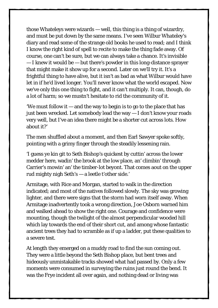those Whateleys were wizards — well, this thing is a thing of wizardry, and must be put down by the same means. I've seen Wilbur Whateley's diary and read some of the strange old books he used to read; and I think I know the right kind of spell to recite to make the thing fade away. Of course, one can't be sure, but we can always take a chance. It's invisible — I knew it would be — but there's powder in this long-distance sprayer that might make it show up for a second. Later on we'll try it. It's a frightful thing to have alive, but it isn't as bad as what Wilbur would have let in if he'd lived longer. You'll never know what the world escaped. Now we've only this one thing to fight, and it can't multiply. It can, though, do a lot of harm; so we mustn't hesitate to rid the community of it.

'We must follow it — and the way to begin is to go to the place that has just been wrecked. Let somebody lead the way — I don't know your roads very well, but I've an idea there might be a shorter cut across lots. How about it?'

The men shuffled about a moment, and then Earl Sawyer spoke softly, pointing with a grimy finger through the steadily lessening rain.

'I guess ye kin git to Seth Bishop's quickest by cuttin' across the lower medder here, wadin' the brook at the low place, an' climbin' through Carrier's mowin' an' the timber-lot beyont. That comes aout on the upper rud mighty nigh Seth's — a leetle t'other side.'

Armitage, with Rice and Morgan, started to walk in the direction indicated; and most of the natives followed slowly. The sky was growing lighter, and there were signs that the storm had worn itself away. When Armitage inadvertently took a wrong direction, Joe Osborn warned him and walked ahead to show the right one. Courage and confidence were mounting, though the twilight of the almost perpendicular wooded hill which lay towards the end of their short cut, and among whose fantastic ancient trees they had to scramble as if up a ladder, put these qualities to a severe test.

At length they emerged on a muddy road to find the sun coming out. They were a little beyond the Seth Bishop place, but bent trees and hideously unmistakable tracks showed what had passed by. Only a few moments were consumed in surveying the ruins just round the bend. It was the Frye incident all over again, and nothing dead or living was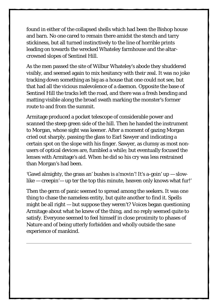found in either of the collapsed shells which had been the Bishop house and barn. No one cared to remain there amidst the stench and tarry stickiness, but all turned instinctively to the line of horrible prints leading on towards the wrecked Whateley farmhouse and the altarcrowned slopes of Sentinel Hill.

As the men passed the site of Wilbur Whateley's abode they shuddered visibly, and seemed again to mix hesitancy with their zeal. It was no joke tracking down something as big as a house that one could not see, but that had all the vicious malevolence of a daemon. Opposite the base of Sentinel Hill the tracks left the road, and there was a fresh bending and matting visible along the broad swath marking the monster's former route to and from the summit.

Armitage produced a pocket telescope of considerable power and scanned the steep green side of the hill. Then he handed the instrument to Morgan, whose sight was keener. After a moment of gazing Morgan cried out sharply, passing the glass to Earl Sawyer and indicating a certain spot on the slope with his finger. Sawyer, as clumsy as most nonusers of optical devices are, fumbled a while; but eventually focused the lenses with Armitage's aid. When he did so his cry was less restrained than Morgan's had been.

'Gawd almighty, the grass an' bushes is a'movin'! It's a-goin' up — slowlike — creepin'— up ter the top this minute, heaven only knows what fur!'

Then the germ of panic seemed to spread among the seekers. It was one thing to chase the nameless entity, but quite another to find it. Spells might be all right — but suppose they weren't? Voices began questioning Armitage about what he knew of the thing, and no reply seemed quite to satisfy. Everyone seemed to feel himself in close proximity to phases of Nature and of being utterly forbidden and wholly outside the sane experience of mankind.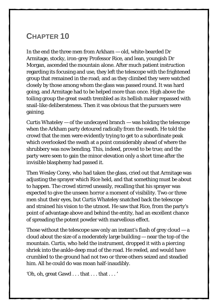#### <span id="page-45-0"></span>**CHAPTER 10**

In the end the three men from Arkham — old, white-bearded Dr Armitage, stocky, iron-grey Professor Rice, and lean, youngish Dr Morgan, ascended the mountain alone. After much patient instruction regarding its focusing and use, they left the telescope with the frightened group that remained in the road; and as they climbed they were watched closely by those among whom the glass was passed round. It was hard going, and Armitage had to be helped more than once. High above the toiling group the great swath trembled as its hellish maker repassed with snail-like deliberateness. Then it was obvious that the pursuers were gaining.

Curtis Whateley  $-$  of the undecayed branch  $-$  was holding the telescope when the Arkham party detoured radically from the swath. He told the crowd that the men were evidently trying to get to a subordinate peak which overlooked the swath at a point considerably ahead of where the shrubbery was now bending. This, indeed, proved to be true; and the party were seen to gain the minor elevation only a short time after the invisible blasphemy had passed it.

Then Wesley Corey, who had taken the glass, cried out that Armitage was adjusting the sprayer which Rice held, and that something must be about to happen. The crowd stirred uneasily, recalling that his sprayer was expected to give the unseen horror a moment of visibility. Two or three men shut their eyes, but Curtis Whateley snatched back the telescope and strained his vision to the utmost. He saw that Rice, from the party's point of advantage above and behind the entity, had an excellent chance of spreading the potent powder with marvellous effect.

Those without the telescope saw only an instant's flash of grey cloud  $-\alpha$ cloud about the size of a moderately large building — near the top of the mountain. Curtis, who held the instrument, dropped it with a piercing shriek into the ankle-deep mud of the road. He reeled, and would have crumbled to the ground had not two or three others seized and steadied him. All he could do was moan half-inaudibly.

'Oh, oh, great Gawd . . . that . . . that . . . '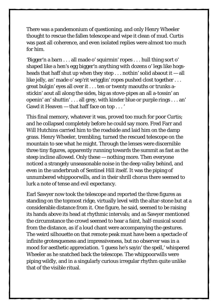There was a pandemonium of questioning, and only Henry Wheeler thought to rescue the fallen telescope and wipe it clean of mud. Curtis was past all coherence, and even isolated replies were almost too much for him.

'Bigger'n a barn . . . all made o' squirmin' ropes . . . hull thing sort o' shaped like a hen's egg bigger'n anything with dozens o' legs like hogsheads that haff shut up when they step  $\dots$  nothin' solid abaout it  $-$  all like jelly, an' made o' sep'rit wrigglin' ropes pushed clost together . . . great bulgin' eyes all over it . . . ten or twenty maouths or trunks astickin' aout all along the sides, big as stove-pipes an all a-tossin' an openin' an' shuttin' . . . all grey, with kinder blue or purple rings . . . an' Gawd it Heaven — that haff face on top . . . '

This final memory, whatever it was, proved too much for poor Curtis; and he collapsed completely before he could say more. Fred Farr and Will Hutchins carried him to the roadside and laid him on the damp grass. Henry Wheeler, trembling, turned the rescued telescope on the mountain to see what he might. Through the lenses were discernible three tiny figures, apparently running towards the summit as fast as the steep incline allowed. Only these — nothing more. Then everyone noticed a strangely unseasonable noise in the deep valley behind, and even in the underbrush of Sentinel Hill itself. It was the piping of unnumbered whippoorwills, and in their shrill chorus there seemed to lurk a note of tense and evil expectancy.

Earl Sawyer now took the telescope and reported the three figures as standing on the topmost ridge, virtually level with the altar-stone but at a considerable distance from it. One figure, he said, seemed to be raising its hands above its head at rhythmic intervals; and as Sawyer mentioned the circumstance the crowd seemed to hear a faint, half-musical sound from the distance, as if a loud chant were accompanying the gestures. The weird silhouette on that remote peak must have been a spectacle of infinite grotesqueness and impressiveness, but no observer was in a mood for aesthetic appreciation. 'I guess he's sayin' the spell,' whispered Wheeler as he snatched back the telescope. The whippoorwills were piping wildly, and in a singularly curious irregular rhythm quite unlike that of the visible ritual.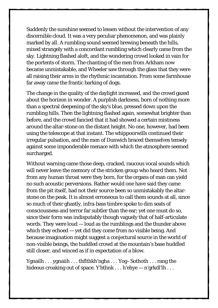Suddenly the sunshine seemed to lessen without the intervention of any discernible cloud. It was a very peculiar phenomenon, and was plainly marked by all. A rumbling sound seemed brewing beneath the hills, mixed strangely with a concordant rumbling which clearly came from the sky. Lightning flashed aloft, and the wondering crowd looked in vain for the portents of storm. The chanting of the men from Arkham now became unmistakable, and Wheeler saw through the glass that they were all raising their arms in the rhythmic incantation. From some farmhouse far away came the frantic barking of dogs.

The change in the quality of the daylight increased, and the crowd gazed about the horizon in wonder. A purplish darkness, born of nothing more than a spectral deepening of the sky's blue, pressed down upon the rumbling hills. Then the lightning flashed again, somewhat brighter than before, and the crowd fancied that it had showed a certain mistiness around the altar-stone on the distant height. No one, however, had been using the telescope at that instant. The whippoorwills continued their irregular pulsation, and the men of Dunwich braced themselves tensely against some imponderable menace with which the atmosphere seemed surcharged.

Without warning came those deep, cracked, raucous vocal sounds which will never leave the memory of the stricken group who heard them. Not from any human throat were they born, for the organs of man can yield no such acoustic perversions. Rather would one have said they came from the pit itself, had not their source been so unmistakably the altarstone on the peak. It is almost erroneous to call them sounds at all, since so much of their ghastly, infra-bass timbre spoke to dim seats of consciousness and terror far subtler than the ear; yet one must do so, since their form was indisputably though vaguely that of half-articulate words. They were loud — loud as the rumblings and the thunder above which they echoed — yet did they come from no visible being. And because imagination might suggest a conjectural source in the world of non-visible beings, the huddled crowd at the mountain's base huddled still closer, and winced as if in expectation of a blow.

Ygnailh . . . ygnaiih . . . thflthkh'ngha . . . Yog–Sothoth . . . rang the hideous croaking out of space. Y'bthnk . . . h'ehye — n'grkdl'lh . . .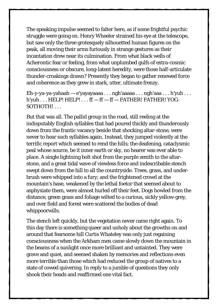The speaking impulse seemed to falter here, as if some frightful psychic struggle were going on. Henry Wheeler strained his eye at the telescope, but saw only the three grotesquely silhouetted human figures on the peak, all moving their arms furiously in strange gestures as their incantation drew near its culmination. From what black wells of Acherontic fear or feeling, from what unplumbed gulfs of extra-cosmic consciousness or obscure, long-latent heredity, were those half-articulate thunder-croakings drawn? Presently they began to gather renewed force and coherence as they grew in stark, utter, ultimate frenzy.

Eh-y-ya-ya-yahaah — e'yayayaaaa . . . ngh'aaaaa . . . ngh'aaa . . . h'yuh . . . h'yuh . . . HELP! HELP! . . . ff — ff — ff — FATHER! FATHER! YOG-SOTHOTH!...

But that was all. The pallid group in the road, still reeling at the indisputably English syllables that had poured thickly and thunderously down from the frantic vacancy beside that shocking altar-stone, were never to hear such syllables again. Instead, they jumped violently at the terrific report which seemed to rend the hills; the deafening, cataclysmic peal whose source, be it inner earth or sky, no hearer was ever able to place. A single lightning bolt shot from the purple zenith to the altarstone, and a great tidal wave of viewless force and indescribable stench swept down from the hill to all the countryside. Trees, grass, and underbrush were whipped into a fury; and the frightened crowd at the mountain's base, weakened by the lethal foetor that seemed about to asphyxiate them, were almost hurled off their feet. Dogs howled from the distance, green grass and foliage wilted to a curious, sickly yellow-grey, and over field and forest were scattered the bodies of dead whippoorwills.

The stench left quickly, but the vegetation never came right again. To this day there is something queer and unholy about the growths on and around that fearsome hill Curtis Whateley was only just regaining consciousness when the Arkham men came slowly down the mountain in the beams of a sunlight once more brilliant and untainted. They were grave and quiet, and seemed shaken by memories and reflections even more terrible than those which had reduced the group of natives to a state of cowed quivering. In reply to a jumble of questions they only shook their heads and reaffirmed one vital fact.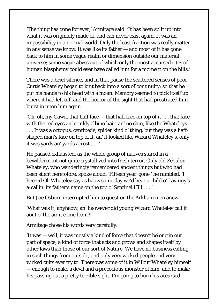'The thing has gone for ever,' Armitage said. 'It has been split up into what it was originally made of, and can never exist again. It was an impossibility in a normal world. Only the least fraction was really matter in any sense we know. It was like its father — and most of it has gone back to him in some vague realm or dimension outside our material universe; some vague abyss out of which only the most accursed rites of human blasphemy could ever have called him for a moment on the hills.'

There was a brief silence, and in that pause the scattered senses of poor Curtis Whateley began to knit back into a sort of continuity; so that he put his hands to his head with a moan. Memory seemed to pick itself up where it had left off, and the horror of the sight that had prostrated him burst in upon him again.

'Oh, oh, my Gawd, that haff face — that haff face on top of it . . . that face with the red eyes an' crinkly albino hair, an' no chin, like the Whateleys . . . It was a octopus, centipede, spider kind o' thing, but they was a haffshaped man's face on top of it, an' it looked like Wizard Whateley's, only it was yards an' yards acrost . . . '

He paused exhausted, as the whole group of natives stared in a bewilderment not quite crystallized into fresh terror. Only old Zebulon Whateley, who wanderingly remembered ancient things but who had been silent heretofore, spoke aloud. 'Fifteen year' gone,' he rambled, 'I heered Ol' Whateley say as haow some day we'd hear a child o' Lavinny's a-callin' its father's name on the top o' Sentinel Hill . . . '

But Joe Osborn interrupted him to question the Arkham men anew.

'What was it, anyhaow, an' haowever did young Wizard Whateley call it aout o' the air it come from?'

Armitage chose his words very carefully.

'It was — well, it was mostly a kind of force that doesn't belong in our part of space; a kind of force that acts and grows and shapes itself by other laws than those of our sort of Nature. We have no business calling in such things from outside, and only very wicked people and very wicked cults ever try to. There was some of it in Wilbur Whateley himself — enough to make a devil and a precocious monster of him, and to make his passing out a pretty terrible sight. I'm going to burn his accursed